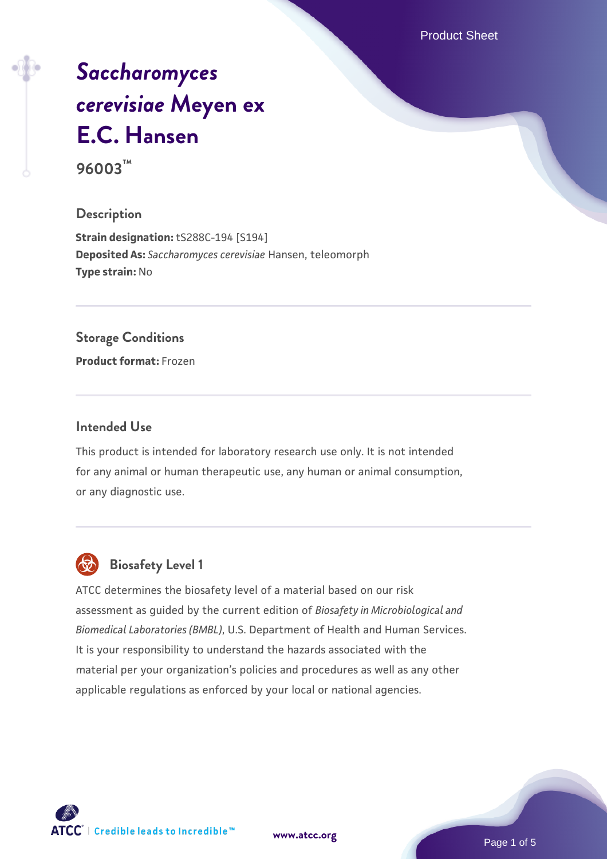Product Sheet

# *[Saccharomyces](https://www.atcc.org/products/96003) [cerevisiae](https://www.atcc.org/products/96003)* **[Meyen ex](https://www.atcc.org/products/96003) [E.C. Hansen](https://www.atcc.org/products/96003)**

**96003™**

### **Description**

**Strain designation:** tS288C-194 [S194] **Deposited As:** *Saccharomyces cerevisiae* Hansen, teleomorph **Type strain:** No

### **Storage Conditions**

**Product format:** Frozen

### **Intended Use**

This product is intended for laboratory research use only. It is not intended for any animal or human therapeutic use, any human or animal consumption, or any diagnostic use.



# **Biosafety Level 1**

ATCC determines the biosafety level of a material based on our risk assessment as guided by the current edition of *Biosafety in Microbiological and Biomedical Laboratories (BMBL)*, U.S. Department of Health and Human Services. It is your responsibility to understand the hazards associated with the material per your organization's policies and procedures as well as any other applicable regulations as enforced by your local or national agencies.

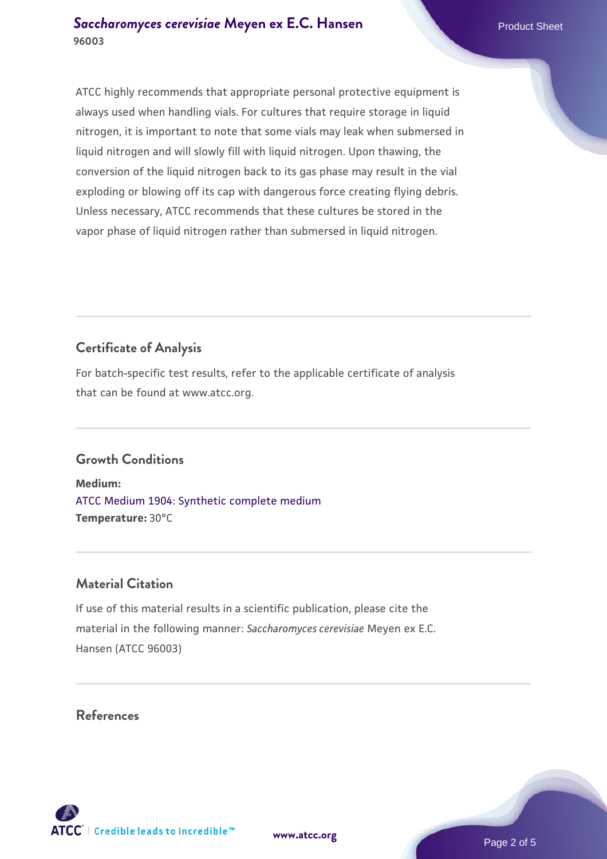ATCC highly recommends that appropriate personal protective equipment is always used when handling vials. For cultures that require storage in liquid nitrogen, it is important to note that some vials may leak when submersed in liquid nitrogen and will slowly fill with liquid nitrogen. Upon thawing, the conversion of the liquid nitrogen back to its gas phase may result in the vial exploding or blowing off its cap with dangerous force creating flying debris. Unless necessary, ATCC recommends that these cultures be stored in the vapor phase of liquid nitrogen rather than submersed in liquid nitrogen.

# **Certificate of Analysis**

For batch-specific test results, refer to the applicable certificate of analysis that can be found at www.atcc.org.

### **Growth Conditions**

**Medium:**  [ATCC Medium 1904: Synthetic complete medium](https://www.atcc.org/-/media/product-assets/documents/microbial-media-formulations/atcc-medium-1904.pdf?rev=0e0b7f15245044839a89ba7db6e9650a) **Temperature:** 30°C

### **Material Citation**

If use of this material results in a scientific publication, please cite the material in the following manner: *Saccharomyces cerevisiae* Meyen ex E.C. Hansen (ATCC 96003)

### **References**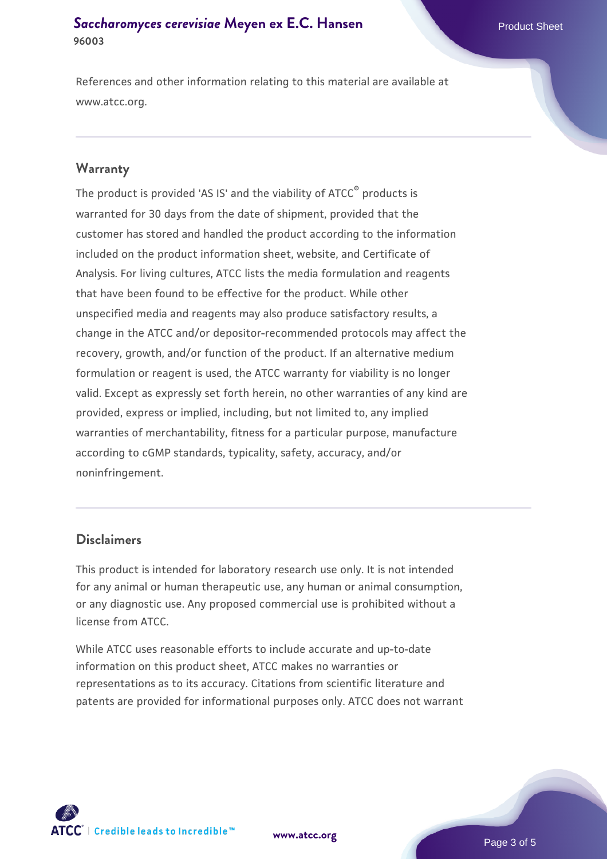### **[Saccharomyces cerevisiae](https://www.atcc.org/products/96003)** [Meyen ex E.C. Hansen](https://www.atcc.org/products/96003) **96003**

References and other information relating to this material are available at www.atcc.org.

### **Warranty**

The product is provided 'AS IS' and the viability of ATCC® products is warranted for 30 days from the date of shipment, provided that the customer has stored and handled the product according to the information included on the product information sheet, website, and Certificate of Analysis. For living cultures, ATCC lists the media formulation and reagents that have been found to be effective for the product. While other unspecified media and reagents may also produce satisfactory results, a change in the ATCC and/or depositor-recommended protocols may affect the recovery, growth, and/or function of the product. If an alternative medium formulation or reagent is used, the ATCC warranty for viability is no longer valid. Except as expressly set forth herein, no other warranties of any kind are provided, express or implied, including, but not limited to, any implied warranties of merchantability, fitness for a particular purpose, manufacture according to cGMP standards, typicality, safety, accuracy, and/or noninfringement.

### **Disclaimers**

This product is intended for laboratory research use only. It is not intended for any animal or human therapeutic use, any human or animal consumption, or any diagnostic use. Any proposed commercial use is prohibited without a license from ATCC.

While ATCC uses reasonable efforts to include accurate and up-to-date information on this product sheet, ATCC makes no warranties or representations as to its accuracy. Citations from scientific literature and patents are provided for informational purposes only. ATCC does not warrant



**[www.atcc.org](http://www.atcc.org)**

Page 3 of 5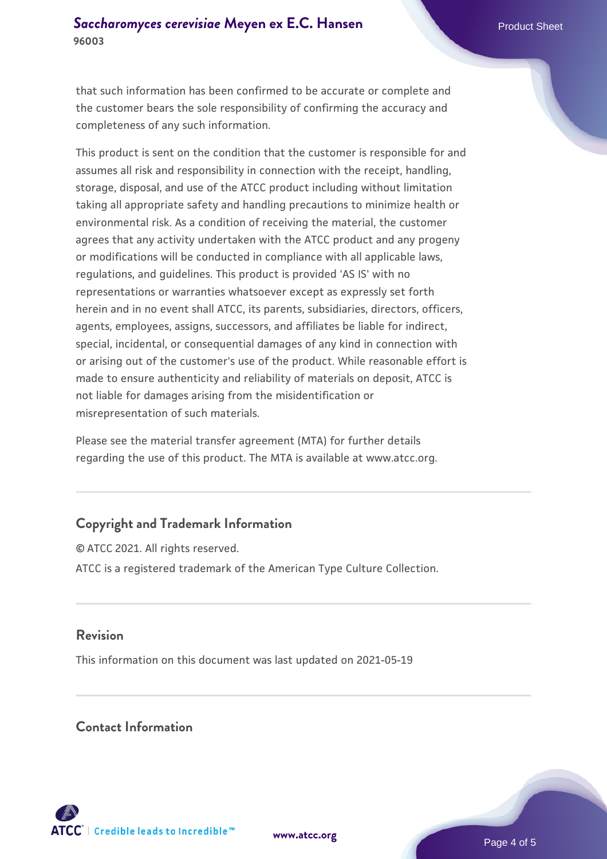that such information has been confirmed to be accurate or complete and the customer bears the sole responsibility of confirming the accuracy and completeness of any such information.

This product is sent on the condition that the customer is responsible for and assumes all risk and responsibility in connection with the receipt, handling, storage, disposal, and use of the ATCC product including without limitation taking all appropriate safety and handling precautions to minimize health or environmental risk. As a condition of receiving the material, the customer agrees that any activity undertaken with the ATCC product and any progeny or modifications will be conducted in compliance with all applicable laws, regulations, and guidelines. This product is provided 'AS IS' with no representations or warranties whatsoever except as expressly set forth herein and in no event shall ATCC, its parents, subsidiaries, directors, officers, agents, employees, assigns, successors, and affiliates be liable for indirect, special, incidental, or consequential damages of any kind in connection with or arising out of the customer's use of the product. While reasonable effort is made to ensure authenticity and reliability of materials on deposit, ATCC is not liable for damages arising from the misidentification or misrepresentation of such materials.

Please see the material transfer agreement (MTA) for further details regarding the use of this product. The MTA is available at www.atcc.org.

## **Copyright and Trademark Information**

© ATCC 2021. All rights reserved. ATCC is a registered trademark of the American Type Culture Collection.

### **Revision**

This information on this document was last updated on 2021-05-19

### **Contact Information**



**[www.atcc.org](http://www.atcc.org)**